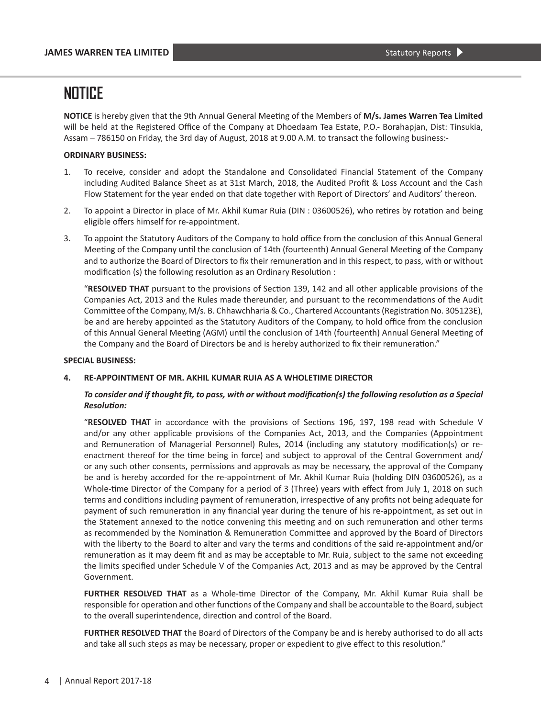**NOTICE** is hereby given that the 9th Annual General Meeting of the Members of **M/s. James Warren Tea Limited**  will be held at the Registered Office of the Company at Dhoedaam Tea Estate, P.O.- Borahapjan, Dist: Tinsukia, Assam – 786150 on Friday, the 3rd day of August, 2018 at 9.00 A.M. to transact the following business:-

#### **ORDINARY BUSINESS:**

- 1. To receive, consider and adopt the Standalone and Consolidated Financial Statement of the Company including Audited Balance Sheet as at 31st March, 2018, the Audited Profit & Loss Account and the Cash Flow Statement for the year ended on that date together with Report of Directors' and Auditors' thereon.
- 2. To appoint a Director in place of Mr. Akhil Kumar Ruia (DIN : 03600526), who retires by rotation and being eligible offers himself for re-appointment.
- 3. To appoint the Statutory Auditors of the Company to hold office from the conclusion of this Annual General Meeting of the Company until the conclusion of 14th (fourteenth) Annual General Meeting of the Company and to authorize the Board of Directors to fix their remuneration and in this respect, to pass, with or without modification (s) the following resolution as an Ordinary Resolution :

 "**RESOLVED THAT** pursuant to the provisions of Section 139, 142 and all other applicable provisions of the Companies Act, 2013 and the Rules made thereunder, and pursuant to the recommendations of the Audit Committee of the Company, M/s. B. Chhawchharia & Co., Chartered Accountants (Registration No. 305123E), be and are hereby appointed as the Statutory Auditors of the Company, to hold office from the conclusion of this Annual General Meeting (AGM) until the conclusion of 14th (fourteenth) Annual General Meeting of the Company and the Board of Directors be and is hereby authorized to fix their remuneration."

#### **SPECIAL BUSINESS:**

#### **4. RE-APPOINTMENT OF MR. AKHIL KUMAR RUIA AS A WHOLETIME DIRECTOR**

#### To consider and if thought fit, to pass, with or without modification(s) the following resolution as a Special *Resolution:*

 "**RESOLVED THAT** in accordance with the provisions of Sections 196, 197, 198 read with Schedule V and/or any other applicable provisions of the Companies Act, 2013, and the Companies (Appointment and Remuneration of Managerial Personnel) Rules, 2014 (including any statutory modification(s) or reenactment thereof for the time being in force) and subject to approval of the Central Government and/ or any such other consents, permissions and approvals as may be necessary, the approval of the Company be and is hereby accorded for the re-appointment of Mr. Akhil Kumar Ruia (holding DIN 03600526), as a Whole-time Director of the Company for a period of 3 (Three) years with effect from July 1, 2018 on such terms and conditions including payment of remuneration, irrespective of any profits not being adequate for payment of such remuneration in any financial year during the tenure of his re-appointment, as set out in the Statement annexed to the notice convening this meeting and on such remuneration and other terms as recommended by the Nomination & Remuneration Committee and approved by the Board of Directors with the liberty to the Board to alter and vary the terms and conditions of the said re-appointment and/or remuneration as it may deem fit and as may be acceptable to Mr. Ruia, subject to the same not exceeding the limits specified under Schedule V of the Companies Act, 2013 and as may be approved by the Central Government.

**FURTHER RESOLVED THAT** as a Whole-time Director of the Company, Mr. Akhil Kumar Ruia shall be responsible for operation and other functions of the Company and shall be accountable to the Board, subject to the overall superintendence, direction and control of the Board.

**FURTHER RESOLVED THAT** the Board of Directors of the Company be and is hereby authorised to do all acts and take all such steps as may be necessary, proper or expedient to give effect to this resolution."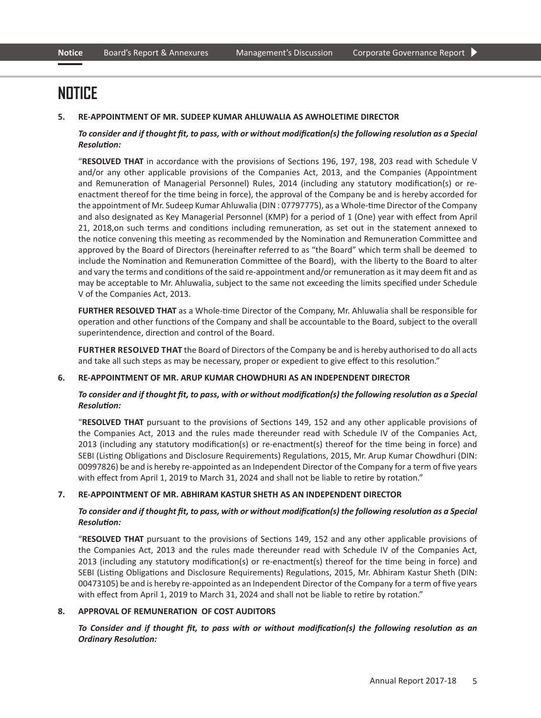#### **5. RE-APPOINTMENT OF MR. SUDEEP KUMAR AHLUWALIA AS AWHOLETIME DIRECTOR**

#### *To* consider and if thought fit, to pass, with or without modification(s) the following resolution as a Special *Resolution:*

 "**RESOLVED THAT** in accordance with the provisions of Sections 196, 197, 198, 203 read with Schedule V and/or any other applicable provisions of the Companies Act, 2013, and the Companies (Appointment and Remuneration of Managerial Personnel) Rules, 2014 (including any statutory modification(s) or reenactment thereof for the time being in force), the approval of the Company be and is hereby accorded for the appointment of Mr. Sudeep Kumar Ahluwalia (DIN : 07797775), as a Whole-time Director of the Company and also designated as Key Managerial Personnel (KMP) for a period of 1 (One) year with effect from April 21, 2018,on such terms and conditions including remuneration, as set out in the statement annexed to the notice convening this meeting as recommended by the Nomination and Remuneration Committee and approved by the Board of Directors (hereinafter referred to as "the Board" which term shall be deemed to include the Nomination and Remuneration Committee of the Board), with the liberty to the Board to alter and vary the terms and conditions of the said re-appointment and/or remuneration as it may deem fit and as may be acceptable to Mr. Ahluwalia, subject to the same not exceeding the limits specified under Schedule V of the Companies Act, 2013.

**FURTHER RESOLVED THAT** as a Whole-time Director of the Company, Mr. Ahluwalia shall be responsible for operation and other functions of the Company and shall be accountable to the Board, subject to the overall superintendence, direction and control of the Board.

**FURTHER RESOLVED THAT** the Board of Directors of the Company be and is hereby authorised to do all acts and take all such steps as may be necessary, proper or expedient to give effect to this resolution."

#### **6. RE-APPOINTMENT OF MR. ARUP KUMAR CHOWDHURI AS AN INDEPENDENT DIRECTOR**

#### To consider and if thought fit, to pass, with or without modification(s) the following resolution as a Special *Resolution:*

 "**RESOLVED THAT** pursuant to the provisions of Sections 149, 152 and any other applicable provisions of the Companies Act, 2013 and the rules made thereunder read with Schedule IV of the Companies Act, 2013 (including any statutory modification(s) or re-enactment(s) thereof for the time being in force) and SEBI (Listing Obligations and Disclosure Requirements) Regulations, 2015, Mr. Arup Kumar Chowdhuri (DIN: 00997826) be and is hereby re-appointed as an Independent Director of the Company for a term of five years with effect from April 1, 2019 to March 31, 2024 and shall not be liable to retire by rotation."

#### **7. RE-APPOINTMENT OF MR. ABHIRAM KASTUR SHETH AS AN INDEPENDENT DIRECTOR**

#### To consider and if thought fit, to pass, with or without modification(s) the following resolution as a Special *Resolution:*

 "**RESOLVED THAT** pursuant to the provisions of Sections 149, 152 and any other applicable provisions of the Companies Act, 2013 and the rules made thereunder read with Schedule IV of the Companies Act, 2013 (including any statutory modification(s) or re-enactment(s) thereof for the time being in force) and SEBI (Listing Obligations and Disclosure Requirements) Regulations, 2015, Mr. Abhiram Kastur Sheth (DIN: 00473105) be and is hereby re-appointed as an Independent Director of the Company for a term of five years with effect from April 1, 2019 to March 31, 2024 and shall not be liable to retire by rotation."

#### **8. APPROVAL OF REMUNERATION OF COST AUDITORS**

#### To Consider and if thought fit, to pass with or without modification(s) the following resolution as an *Ordinary Resolution:*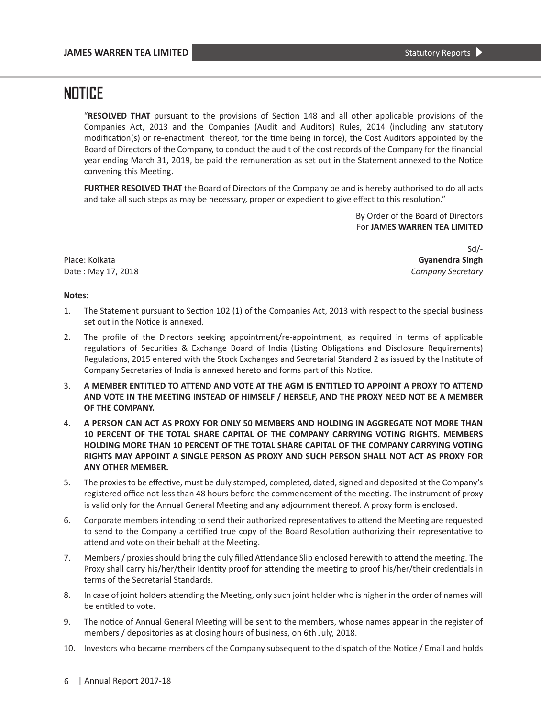"**RESOLVED THAT** pursuant to the provisions of Section 148 and all other applicable provisions of the Companies Act, 2013 and the Companies (Audit and Auditors) Rules, 2014 (including any statutory modification(s) or re-enactment thereof, for the time being in force), the Cost Auditors appointed by the Board of Directors of the Company, to conduct the audit of the cost records of the Company for the financial year ending March 31, 2019, be paid the remuneration as set out in the Statement annexed to the Notice convening this Meeting.

**FURTHER RESOLVED THAT** the Board of Directors of the Company be and is hereby authorised to do all acts and take all such steps as may be necessary, proper or expedient to give effect to this resolution."

> By Order of the Board of Directors For **JAMES WARREN TEA LIMITED**

|                    | Sd/-              |
|--------------------|-------------------|
| Place: Kolkata     | Gyanendra Singh   |
| Date: May 17, 2018 | Company Secretary |

#### **Notes:**

- 1. The Statement pursuant to Section 102 (1) of the Companies Act, 2013 with respect to the special business set out in the Notice is annexed.
- 2. The profile of the Directors seeking appointment/re-appointment, as required in terms of applicable regulations of Securities & Exchange Board of India (Listing Obligations and Disclosure Requirements) Regulations, 2015 entered with the Stock Exchanges and Secretarial Standard 2 as issued by the Institute of Company Secretaries of India is annexed hereto and forms part of this Notice.
- 3. **A MEMBER ENTITLED TO ATTEND AND VOTE AT THE AGM IS ENTITLED TO APPOINT A PROXY TO ATTEND AND VOTE IN THE MEETING INSTEAD OF HIMSELF / HERSELF, AND THE PROXY NEED NOT BE A MEMBER OF THE COMPANY.**
- 4. **A PERSON CAN ACT AS PROXY FOR ONLY 50 MEMBERS AND HOLDING IN AGGREGATE NOT MORE THAN 10 PERCENT OF THE TOTAL SHARE CAPITAL OF THE COMPANY CARRYING VOTING RIGHTS. MEMBERS HOLDING MORE THAN 10 PERCENT OF THE TOTAL SHARE CAPITAL OF THE COMPANY CARRYING VOTING RIGHTS MAY APPOINT A SINGLE PERSON AS PROXY AND SUCH PERSON SHALL NOT ACT AS PROXY FOR ANY OTHER MEMBER.**
- 5. The proxies to be effective, must be duly stamped, completed, dated, signed and deposited at the Company's registered office not less than 48 hours before the commencement of the meeting. The instrument of proxy is valid only for the Annual General Meeting and any adjournment thereof. A proxy form is enclosed.
- 6. Corporate members intending to send their authorized representatives to attend the Meeting are requested to send to the Company a certified true copy of the Board Resolution authorizing their representative to attend and vote on their behalf at the Meeting.
- 7. Members / proxies should bring the duly filled Attendance Slip enclosed herewith to attend the meeting. The Proxy shall carry his/her/their Identity proof for attending the meeting to proof his/her/their credentials in terms of the Secretarial Standards.
- 8. In case of joint holders attending the Meeting, only such joint holder who is higher in the order of names will be entitled to vote.
- 9. The notice of Annual General Meeting will be sent to the members, whose names appear in the register of members / depositories as at closing hours of business, on 6th July, 2018.
- 10. Investors who became members of the Company subsequent to the dispatch of the Notice / Email and holds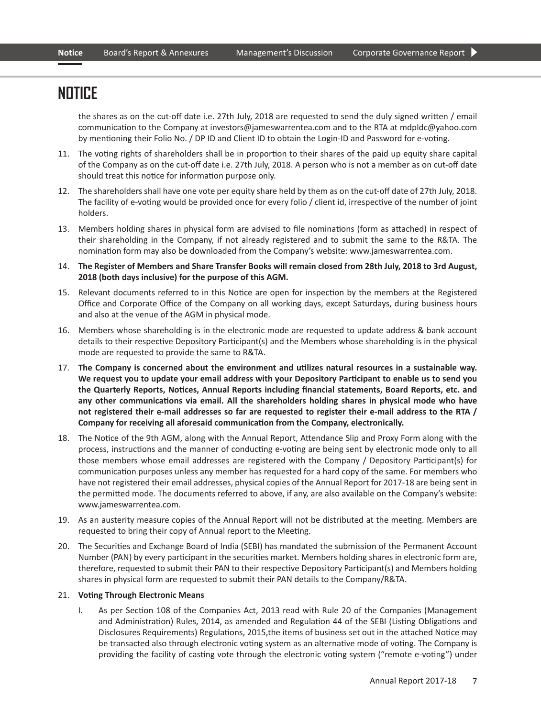the shares as on the cut-off date i.e. 27th July, 2018 are requested to send the duly signed written / email communication to the Company at investors@jameswarrentea.com and to the RTA at mdpldc@yahoo.com by mentioning their Folio No. / DP ID and Client ID to obtain the Login-ID and Password for e-voting.

- 11. The voting rights of shareholders shall be in proportion to their shares of the paid up equity share capital of the Company as on the cut-off date i.e. 27th July, 2018. A person who is not a member as on cut-off date should treat this notice for information purpose only.
- 12. The shareholders shall have one vote per equity share held by them as on the cut-off date of 27th July, 2018. The facility of e-voting would be provided once for every folio / client id, irrespective of the number of joint holders.
- 13. Members holding shares in physical form are advised to file nominations (form as attached) in respect of their shareholding in the Company, if not already registered and to submit the same to the R&TA. The nomination form may also be downloaded from the Company's website: www.jameswarrentea.com.
- 14. **The Register of Members and Share Transfer Books will remain closed from 28th July, 2018 to 3rd August, 2018 (both days inclusive) for the purpose of this AGM.**
- 15. Relevant documents referred to in this Notice are open for inspection by the members at the Registered Office and Corporate Office of the Company on all working days, except Saturdays, during business hours and also at the venue of the AGM in physical mode.
- 16. Members whose shareholding is in the electronic mode are requested to update address & bank account details to their respective Depository Participant(s) and the Members whose shareholding is in the physical mode are requested to provide the same to R&TA.
- 17. **The Company is concerned about the environment and utilizes natural resources in a sustainable way. We request you to update your email address with your Depository Participant to enable us to send you the Quarterly Reports, Notices, Annual Reports including financial statements, Board Reports, etc. and any other communications via email. All the shareholders holding shares in physical mode who have not registered their e-mail addresses so far are requested to register their e-mail address to the RTA / Company for receiving all aforesaid communication from the Company, electronically.**
- 18. The Notice of the 9th AGM, along with the Annual Report, Attendance Slip and Proxy Form along with the process, instructions and the manner of conducting e-voting are being sent by electronic mode only to all those members whose email addresses are registered with the Company / Depository Participant(s) for communication purposes unless any member has requested for a hard copy of the same. For members who have not registered their email addresses, physical copies of the Annual Report for 2017-18 are being sent in the permitted mode. The documents referred to above, if any, are also available on the Company's website: www.jameswarrentea.com.
- 19. As an austerity measure copies of the Annual Report will not be distributed at the meeting. Members are requested to bring their copy of Annual report to the Meeting.
- 20. The Securities and Exchange Board of India (SEBI) has mandated the submission of the Permanent Account Number (PAN) by every participant in the securities market. Members holding shares in electronic form are, therefore, requested to submit their PAN to their respective Depository Participant(s) and Members holding shares in physical form are requested to submit their PAN details to the Company/R&TA.

#### 21. **Voting Through Electronic Means**

 I. As per Section 108 of the Companies Act, 2013 read with Rule 20 of the Companies (Management and Administration) Rules, 2014, as amended and Regulation 44 of the SEBI (Listing Obligations and Disclosures Requirements) Regulations, 2015,the items of business set out in the attached Notice may be transacted also through electronic voting system as an alternative mode of voting. The Company is providing the facility of casting vote through the electronic voting system ("remote e-voting") under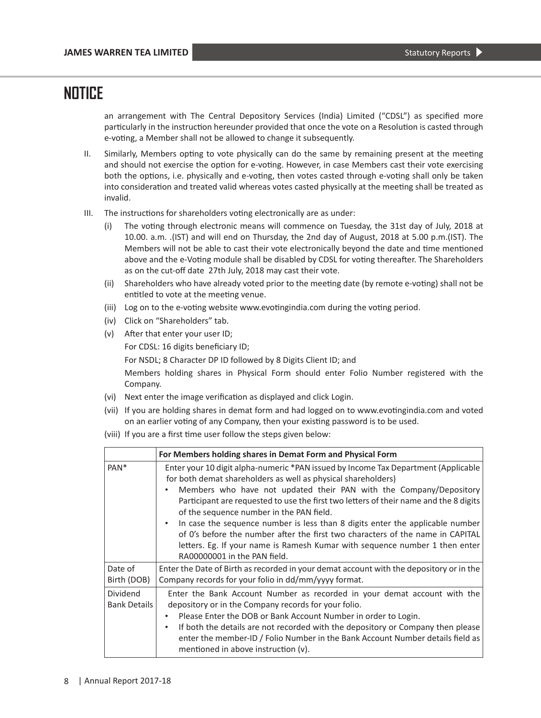an arrangement with The Central Depository Services (India) Limited ("CDSL") as specified more particularly in the instruction hereunder provided that once the vote on a Resolution is casted through e-voting, a Member shall not be allowed to change it subsequently.

- II. Similarly, Members opting to vote physically can do the same by remaining present at the meeting and should not exercise the option for e-voting. However, in case Members cast their vote exercising both the options, i.e. physically and e-voting, then votes casted through e-voting shall only be taken into consideration and treated valid whereas votes casted physically at the meeting shall be treated as invalid.
- III. The instructions for shareholders voting electronically are as under:
	- (i) The voting through electronic means will commence on Tuesday, the 31st day of July, 2018 at 10.00. a.m. .(IST) and will end on Thursday, the 2nd day of August, 2018 at 5.00 p.m.(IST). The Members will not be able to cast their vote electronically beyond the date and time mentioned above and the e-Voting module shall be disabled by CDSL for voting thereafter. The Shareholders as on the cut-off date 27th July, 2018 may cast their vote.
	- (ii) Shareholders who have already voted prior to the meeting date (by remote e-voting) shall not be entitled to vote at the meeting venue.
	- (iii) Log on to the e-voting website www.evotingindia.com during the voting period.
	- (iv) Click on "Shareholders" tab.
	- (v) After that enter your user ID;

For CDSL: 16 digits beneficiary ID;

For NSDL; 8 Character DP ID followed by 8 Digits Client ID; and

 Members holding shares in Physical Form should enter Folio Number registered with the Company.

- (vi) Next enter the image verification as displayed and click Login.
- (vii) If you are holding shares in demat form and had logged on to www.evotingindia.com and voted on an earlier voting of any Company, then your existing password is to be used.
- (viii) If you are a first time user follow the steps given below:

|                                        | For Members holding shares in Demat Form and Physical Form                                                                                                                                                                                                                                                                                                                                                                                                                                                                                                                                                                                            |
|----------------------------------------|-------------------------------------------------------------------------------------------------------------------------------------------------------------------------------------------------------------------------------------------------------------------------------------------------------------------------------------------------------------------------------------------------------------------------------------------------------------------------------------------------------------------------------------------------------------------------------------------------------------------------------------------------------|
| PAN <sup>*</sup>                       | Enter your 10 digit alpha-numeric *PAN issued by Income Tax Department (Applicable<br>for both demat shareholders as well as physical shareholders)<br>Members who have not updated their PAN with the Company/Depository<br>Participant are requested to use the first two letters of their name and the 8 digits<br>of the sequence number in the PAN field.<br>In case the sequence number is less than 8 digits enter the applicable number<br>٠<br>of 0's before the number after the first two characters of the name in CAPITAL<br>letters. Eg. If your name is Ramesh Kumar with sequence number 1 then enter<br>RA00000001 in the PAN field. |
| Date of<br>Birth (DOB)                 | Enter the Date of Birth as recorded in your demat account with the depository or in the<br>Company records for your folio in dd/mm/yyyy format.                                                                                                                                                                                                                                                                                                                                                                                                                                                                                                       |
| <b>Dividend</b><br><b>Bank Details</b> | Enter the Bank Account Number as recorded in your demat account with the<br>depository or in the Company records for your folio.<br>Please Enter the DOB or Bank Account Number in order to Login.<br>$\bullet$<br>If both the details are not recorded with the depository or Company then please<br>$\bullet$<br>enter the member-ID / Folio Number in the Bank Account Number details field as<br>mentioned in above instruction (v).                                                                                                                                                                                                              |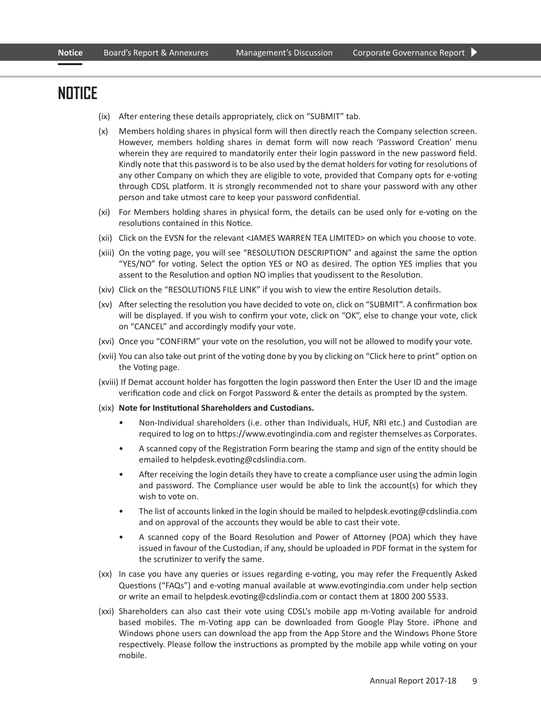- (ix) After entering these details appropriately, click on "SUBMIT" tab.
- (x) Members holding shares in physical form will then directly reach the Company selection screen. However, members holding shares in demat form will now reach 'Password Creation' menu wherein they are required to mandatorily enter their login password in the new password field. Kindly note that this password is to be also used by the demat holders for voting for resolutions of any other Company on which they are eligible to vote, provided that Company opts for e-voting through CDSL platform. It is strongly recommended not to share your password with any other person and take utmost care to keep your password confidential.
- (xi) For Members holding shares in physical form, the details can be used only for e-voting on the resolutions contained in this Notice.
- (xii) Click on the EVSN for the relevant <JAMES WARREN TEA LIMITED> on which you choose to vote.
- (xiii) On the voting page, you will see "RESOLUTION DESCRIPTION" and against the same the option "YES/NO" for voting. Select the option YES or NO as desired. The option YES implies that you assent to the Resolution and option NO implies that youdissent to the Resolution.
- (xiv) Click on the "RESOLUTIONS FILE LINK" if you wish to view the entire Resolution details.
- (xv) After selecting the resolution you have decided to vote on, click on "SUBMIT". A confirmation box will be displayed. If you wish to confirm your vote, click on "OK", else to change your vote, click on "CANCEL" and accordingly modify your vote.
- (xvi) Once you "CONFIRM" your vote on the resolution, you will not be allowed to modify your vote.
- (xvii) You can also take out print of the voting done by you by clicking on "Click here to print" option on the Voting page.
- (xviii) If Demat account holder has forgotten the login password then Enter the User ID and the image verification code and click on Forgot Password & enter the details as prompted by the system.
- (xix) **Note for Institutional Shareholders and Custodians.**
	- Non-Individual shareholders (i.e. other than Individuals, HUF, NRI etc.) and Custodian are required to log on to https://www.evotingindia.com and register themselves as Corporates.
	- A scanned copy of the Registration Form bearing the stamp and sign of the entity should be emailed to helpdesk.evoting@cdslindia.com.
	- After receiving the login details they have to create a compliance user using the admin login and password. The Compliance user would be able to link the account(s) for which they wish to vote on.
	- The list of accounts linked in the login should be mailed to helpdesk.evoting@cdslindia.com and on approval of the accounts they would be able to cast their vote.
	- A scanned copy of the Board Resolution and Power of Attorney (POA) which they have issued in favour of the Custodian, if any, should be uploaded in PDF format in the system for the scrutinizer to verify the same.
- (xx) In case you have any queries or issues regarding e-voting, you may refer the Frequently Asked Questions ("FAQs") and e-voting manual available at www.evotingindia.com under help section or write an email to helpdesk.evoting@cdslindia.com or contact them at 1800 200 5533.
- (xxi) Shareholders can also cast their vote using CDSL's mobile app m-Voting available for android based mobiles. The m-Voting app can be downloaded from Google Play Store. iPhone and Windows phone users can download the app from the App Store and the Windows Phone Store respectively. Please follow the instructions as prompted by the mobile app while voting on your mobile.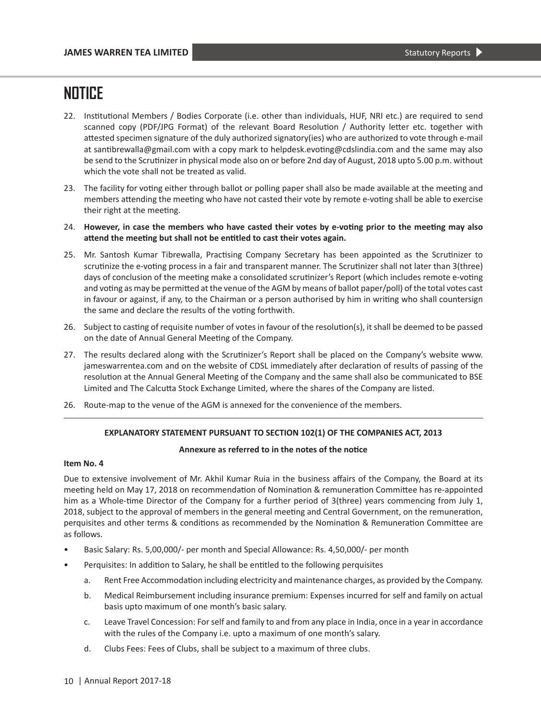- 22. Institutional Members / Bodies Corporate (i.e. other than individuals, HUF, NRI etc.) are required to send scanned copy (PDF/JPG Format) of the relevant Board Resolution / Authority letter etc. together with attested specimen signature of the duly authorized signatory(ies) who are authorized to vote through e-mail at santibrewalla@gmail.com with a copy mark to helpdesk.evoting@cdslindia.com and the same may also be send to the Scrutinizer in physical mode also on or before 2nd day of August, 2018 upto 5.00 p.m. without which the vote shall not be treated as valid.
- 23. The facility for voting either through ballot or polling paper shall also be made available at the meeting and members attending the meeting who have not casted their vote by remote e-voting shall be able to exercise their right at the meeting.
- 24. **However, in case the members who have casted their votes by e-voting prior to the meeting may also attend the meeting but shall not be entitled to cast their votes again.**
- 25. Mr. Santosh Kumar Tibrewalla, Practising Company Secretary has been appointed as the Scrutinizer to scrutinize the e-voting process in a fair and transparent manner. The Scrutinizer shall not later than 3(three) days of conclusion of the meeting make a consolidated scrutinizer's Report (which includes remote e-voting and voting as may be permitted at the venue of the AGM by means of ballot paper/poll) of the total votes cast in favour or against, if any, to the Chairman or a person authorised by him in writing who shall countersign the same and declare the results of the voting forthwith.
- 26. Subject to casting of requisite number of votes in favour of the resolution(s), it shall be deemed to be passed on the date of Annual General Meeting of the Company.
- 27. The results declared along with the Scrutinizer's Report shall be placed on the Company's website www. jameswarrentea.com and on the website of CDSL immediately after declaration of results of passing of the resolution at the Annual General Meeting of the Company and the same shall also be communicated to BSE Limited and The Calcutta Stock Exchange Limited, where the shares of the Company are listed.
- 26. Route-map to the venue of the AGM is annexed for the convenience of the members.

#### **EXPLANATORY STATEMENT PURSUANT TO SECTION 102(1) OF THE COMPANIES ACT, 2013**

#### **Annexure as referred to in the notes of the notice**

#### **Item No. 4**

Due to extensive involvement of Mr. Akhil Kumar Ruia in the business affairs of the Company, the Board at its meeting held on May 17, 2018 on recommendation of Nomination & remuneration Committee has re-appointed him as a Whole-time Director of the Company for a further period of 3(three) years commencing from July 1, 2018, subject to the approval of members in the general meeting and Central Government, on the remuneration, perquisites and other terms & conditions as recommended by the Nomination & Remuneration Committee are as follows.

- Basic Salary: Rs. 5,00,000/- per month and Special Allowance: Rs. 4,50,000/- per month
- Perquisites: In addition to Salary, he shall be entitled to the following perquisites
	- a. Rent Free Accommodation including electricity and maintenance charges, as provided by the Company.
	- b. Medical Reimbursement including insurance premium: Expenses incurred for self and family on actual basis upto maximum of one month's basic salary.
	- c. Leave Travel Concession: For self and family to and from any place in India, once in a year in accordance with the rules of the Company i.e. upto a maximum of one month's salary.
	- d. Clubs Fees: Fees of Clubs, shall be subject to a maximum of three clubs.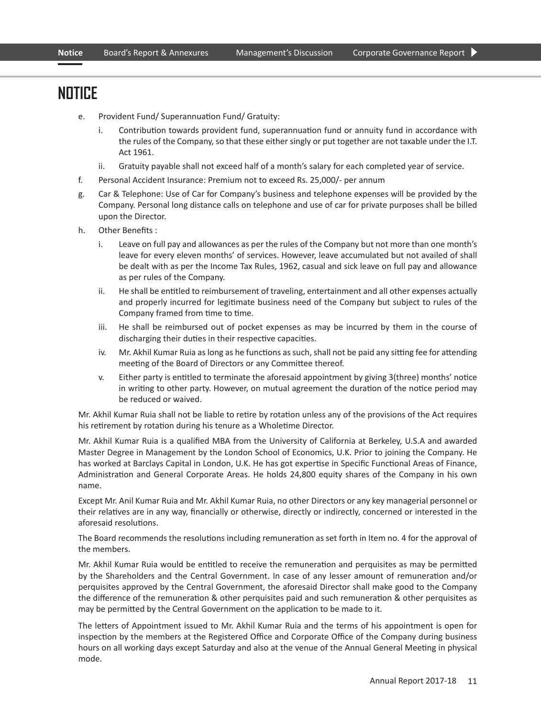- e. Provident Fund/ Superannuation Fund/ Gratuity:
	- i. Contribution towards provident fund, superannuation fund or annuity fund in accordance with the rules of the Company, so that these either singly or put together are not taxable under the I.T. Act 1961.
	- ii. Gratuity payable shall not exceed half of a month's salary for each completed year of service.
- f. Personal Accident Insurance: Premium not to exceed Rs. 25,000/- per annum
- g. Car & Telephone: Use of Car for Company's business and telephone expenses will be provided by the Company. Personal long distance calls on telephone and use of car for private purposes shall be billed upon the Director.
- h. Other Benefits :
	- i. Leave on full pay and allowances as per the rules of the Company but not more than one month's leave for every eleven months' of services. However, leave accumulated but not availed of shall be dealt with as per the Income Tax Rules, 1962, casual and sick leave on full pay and allowance as per rules of the Company.
	- ii. He shall be entitled to reimbursement of traveling, entertainment and all other expenses actually and properly incurred for legitimate business need of the Company but subject to rules of the Company framed from time to time.
	- iii. He shall be reimbursed out of pocket expenses as may be incurred by them in the course of discharging their duties in their respective capacities.
	- iv. Mr. Akhil Kumar Ruia as long as he functions as such, shall not be paid any sitting fee for attending meeting of the Board of Directors or any Committee thereof.
	- v. Either party is entitled to terminate the aforesaid appointment by giving 3(three) months' notice in writing to other party. However, on mutual agreement the duration of the notice period may be reduced or waived.

 Mr. Akhil Kumar Ruia shall not be liable to retire by rotation unless any of the provisions of the Act requires his retirement by rotation during his tenure as a Wholetime Director.

 Mr. Akhil Kumar Ruia is a qualified MBA from the University of California at Berkeley, U.S.A and awarded Master Degree in Management by the London School of Economics, U.K. Prior to joining the Company. He has worked at Barclays Capital in London, U.K. He has got expertise in Specific Functional Areas of Finance, Administration and General Corporate Areas. He holds 24,800 equity shares of the Company in his own name.

 Except Mr. Anil Kumar Ruia and Mr. Akhil Kumar Ruia, no other Directors or any key managerial personnel or their relatives are in any way, financially or otherwise, directly or indirectly, concerned or interested in the aforesaid resolutions.

 The Board recommends the resolutions including remuneration as set forth in Item no. 4 for the approval of the members.

 Mr. Akhil Kumar Ruia would be entitled to receive the remuneration and perquisites as may be permitted by the Shareholders and the Central Government. In case of any lesser amount of remuneration and/or perquisites approved by the Central Government, the aforesaid Director shall make good to the Company the difference of the remuneration & other perquisites paid and such remuneration & other perquisites as may be permitted by the Central Government on the application to be made to it.

 The letters of Appointment issued to Mr. Akhil Kumar Ruia and the terms of his appointment is open for inspection by the members at the Registered Office and Corporate Office of the Company during business hours on all working days except Saturday and also at the venue of the Annual General Meeting in physical mode.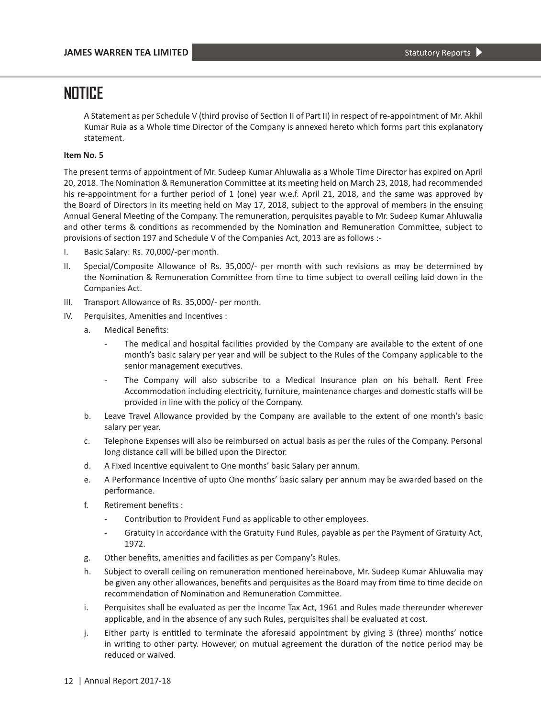A Statement as per Schedule V (third proviso of Section II of Part II) in respect of re-appointment of Mr. Akhil Kumar Ruia as a Whole time Director of the Company is annexed hereto which forms part this explanatory statement.

#### **Item No. 5**

The present terms of appointment of Mr. Sudeep Kumar Ahluwalia as a Whole Time Director has expired on April 20, 2018. The Nomination & Remuneration Committee at its meeting held on March 23, 2018, had recommended his re-appointment for a further period of 1 (one) year w.e.f. April 21, 2018, and the same was approved by the Board of Directors in its meeting held on May 17, 2018, subject to the approval of members in the ensuing Annual General Meeting of the Company. The remuneration, perquisites payable to Mr. Sudeep Kumar Ahluwalia and other terms & conditions as recommended by the Nomination and Remuneration Committee, subject to provisions of section 197 and Schedule V of the Companies Act, 2013 are as follows :-

- I. Basic Salary: Rs. 70,000/-per month.
- II. Special/Composite Allowance of Rs. 35,000/- per month with such revisions as may be determined by the Nomination & Remuneration Committee from time to time subject to overall ceiling laid down in the Companies Act.
- III. Transport Allowance of Rs. 35,000/- per month.
- IV. Perquisites, Amenities and Incentives :
	- a. Medical Benefits:
		- The medical and hospital facilities provided by the Company are available to the extent of one month's basic salary per year and will be subject to the Rules of the Company applicable to the senior management executives.
		- The Company will also subscribe to a Medical Insurance plan on his behalf. Rent Free Accommodation including electricity, furniture, maintenance charges and domestic staffs will be provided in line with the policy of the Company.
	- b. Leave Travel Allowance provided by the Company are available to the extent of one month's basic salary per year.
	- c. Telephone Expenses will also be reimbursed on actual basis as per the rules of the Company. Personal long distance call will be billed upon the Director.
	- d. A Fixed Incentive equivalent to One months' basic Salary per annum.
	- e. A Performance Incentive of upto One months' basic salary per annum may be awarded based on the performance.
	- f. Retirement benefits :
		- Contribution to Provident Fund as applicable to other employees.
		- Gratuity in accordance with the Gratuity Fund Rules, payable as per the Payment of Gratuity Act, 1972.
	- g. Other benefits, amenities and facilities as per Company's Rules.
	- h. Subject to overall ceiling on remuneration mentioned hereinabove, Mr. Sudeep Kumar Ahluwalia may be given any other allowances, benefits and perquisites as the Board may from time to time decide on recommendation of Nomination and Remuneration Committee.
	- i. Perquisites shall be evaluated as per the Income Tax Act, 1961 and Rules made thereunder wherever applicable, and in the absence of any such Rules, perquisites shall be evaluated at cost.
	- j. Either party is entitled to terminate the aforesaid appointment by giving 3 (three) months' notice in writing to other party. However, on mutual agreement the duration of the notice period may be reduced or waived.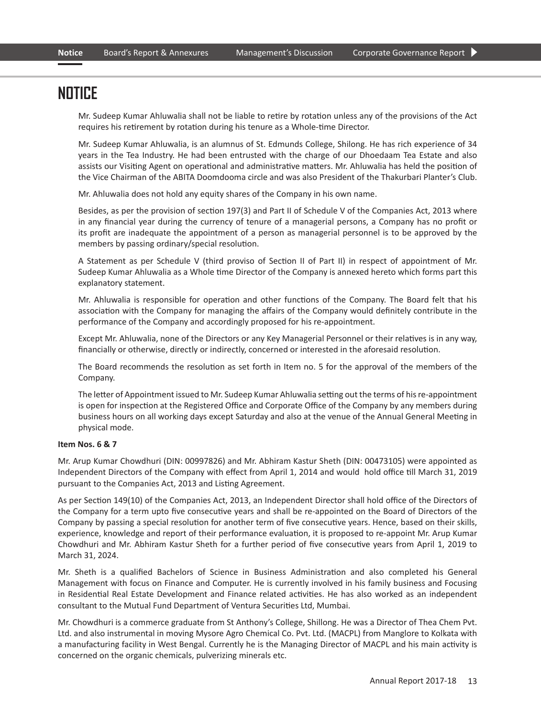Mr. Sudeep Kumar Ahluwalia shall not be liable to retire by rotation unless any of the provisions of the Act requires his retirement by rotation during his tenure as a Whole-time Director.

 Mr. Sudeep Kumar Ahluwalia, is an alumnus of St. Edmunds College, Shilong. He has rich experience of 34 years in the Tea Industry. He had been entrusted with the charge of our Dhoedaam Tea Estate and also assists our Visiting Agent on operational and administrative matters. Mr. Ahluwalia has held the position of the Vice Chairman of the ABITA Doomdooma circle and was also President of the Thakurbari Planter's Club.

Mr. Ahluwalia does not hold any equity shares of the Company in his own name.

 Besides, as per the provision of section 197(3) and Part II of Schedule V of the Companies Act, 2013 where in any financial year during the currency of tenure of a managerial persons, a Company has no profit or its profit are inadequate the appointment of a person as managerial personnel is to be approved by the members by passing ordinary/special resolution.

 A Statement as per Schedule V (third proviso of Section II of Part II) in respect of appointment of Mr. Sudeep Kumar Ahluwalia as a Whole time Director of the Company is annexed hereto which forms part this explanatory statement.

 Mr. Ahluwalia is responsible for operation and other functions of the Company. The Board felt that his association with the Company for managing the affairs of the Company would definitely contribute in the performance of the Company and accordingly proposed for his re-appointment.

 Except Mr. Ahluwalia, none of the Directors or any Key Managerial Personnel or their relatives is in any way, financially or otherwise, directly or indirectly, concerned or interested in the aforesaid resolution.

 The Board recommends the resolution as set forth in Item no. 5 for the approval of the members of the Company.

 The letter of Appointment issued to Mr. Sudeep Kumar Ahluwalia setting out the terms of his re-appointment is open for inspection at the Registered Office and Corporate Office of the Company by any members during business hours on all working days except Saturday and also at the venue of the Annual General Meeting in physical mode.

#### **Item Nos. 6 & 7**

Mr. Arup Kumar Chowdhuri (DIN: 00997826) and Mr. Abhiram Kastur Sheth (DIN: 00473105) were appointed as Independent Directors of the Company with effect from April 1, 2014 and would hold office till March 31, 2019 pursuant to the Companies Act, 2013 and Listing Agreement.

As per Section 149(10) of the Companies Act, 2013, an Independent Director shall hold office of the Directors of the Company for a term upto five consecutive years and shall be re-appointed on the Board of Directors of the Company by passing a special resolution for another term of five consecutive years. Hence, based on their skills, experience, knowledge and report of their performance evaluation, it is proposed to re-appoint Mr. Arup Kumar Chowdhuri and Mr. Abhiram Kastur Sheth for a further period of five consecutive years from April 1, 2019 to March 31, 2024.

Mr. Sheth is a qualified Bachelors of Science in Business Administration and also completed his General Management with focus on Finance and Computer. He is currently involved in his family business and Focusing in Residential Real Estate Development and Finance related activities. He has also worked as an independent consultant to the Mutual Fund Department of Ventura Securities Ltd, Mumbai.

Mr. Chowdhuri is a commerce graduate from St Anthony's College, Shillong. He was a Director of Thea Chem Pvt. Ltd. and also instrumental in moving Mysore Agro Chemical Co. Pvt. Ltd. (MACPL) from Manglore to Kolkata with a manufacturing facility in West Bengal. Currently he is the Managing Director of MACPL and his main activity is concerned on the organic chemicals, pulverizing minerals etc.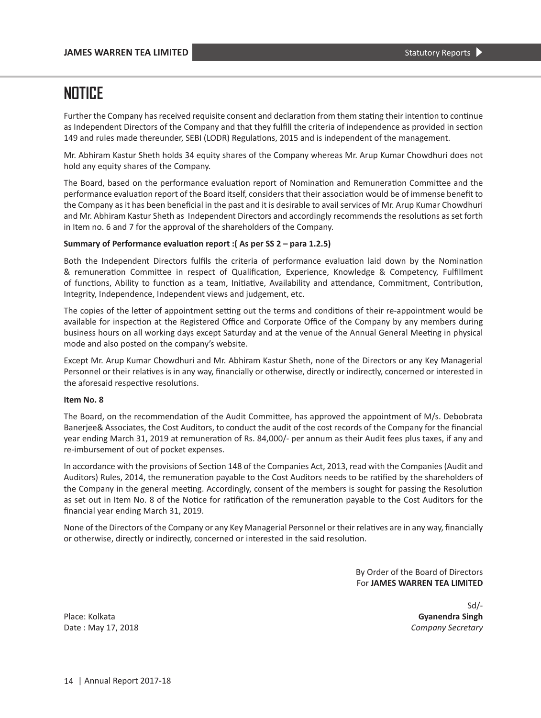Further the Company has received requisite consent and declaration from them stating their intention to continue as Independent Directors of the Company and that they fulfill the criteria of independence as provided in section 149 and rules made thereunder, SEBI (LODR) Regulations, 2015 and is independent of the management.

Mr. Abhiram Kastur Sheth holds 34 equity shares of the Company whereas Mr. Arup Kumar Chowdhuri does not hold any equity shares of the Company.

The Board, based on the performance evaluation report of Nomination and Remuneration Committee and the performance evaluation report of the Board itself, considers that their association would be of immense benefit to the Company as it has been beneficial in the past and it is desirable to avail services of Mr. Arup Kumar Chowdhuri and Mr. Abhiram Kastur Sheth as Independent Directors and accordingly recommends the resolutions as set forth in Item no. 6 and 7 for the approval of the shareholders of the Company.

#### **Summary of Performance evaluation report :( As per SS 2 – para 1.2.5)**

Both the Independent Directors fulfils the criteria of performance evaluation laid down by the Nomination & remuneration Committee in respect of Qualification, Experience, Knowledge & Competency, Fulfillment of functions, Ability to function as a team, Initiative, Availability and attendance, Commitment, Contribution, Integrity, Independence, Independent views and judgement, etc.

The copies of the letter of appointment setting out the terms and conditions of their re-appointment would be available for inspection at the Registered Office and Corporate Office of the Company by any members during business hours on all working days except Saturday and at the venue of the Annual General Meeting in physical mode and also posted on the company's website.

Except Mr. Arup Kumar Chowdhuri and Mr. Abhiram Kastur Sheth, none of the Directors or any Key Managerial Personnel or their relatives is in any way, financially or otherwise, directly or indirectly, concerned or interested in the aforesaid respective resolutions.

#### **Item No. 8**

The Board, on the recommendation of the Audit Committee, has approved the appointment of M/s. Debobrata Banerjee& Associates, the Cost Auditors, to conduct the audit of the cost records of the Company for the financial year ending March 31, 2019 at remuneration of Rs. 84,000/- per annum as their Audit fees plus taxes, if any and re-imbursement of out of pocket expenses.

In accordance with the provisions of Section 148 of the Companies Act, 2013, read with the Companies (Audit and Auditors) Rules, 2014, the remuneration payable to the Cost Auditors needs to be ratified by the shareholders of the Company in the general meeting. Accordingly, consent of the members is sought for passing the Resolution as set out in Item No. 8 of the Notice for ratification of the remuneration payable to the Cost Auditors for the financial year ending March 31, 2019.

None of the Directors of the Company or any Key Managerial Personnel or their relatives are in any way, financially or otherwise, directly or indirectly, concerned or interested in the said resolution.

> By Order of the Board of Directors For **JAMES WARREN TEA LIMITED**

> > Sd/-

Place: Kolkata **Gyanendra Singh** Date : May 17, 2018 *Company Secretary*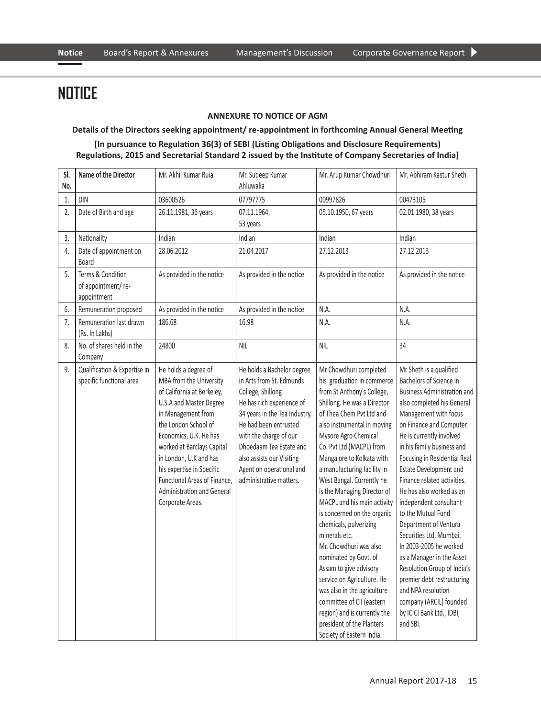#### **ANNEXURE TO NOTICE OF AGM**

#### **Details of the Directors seeking appointment/ re-appointment in forthcoming Annual General Meeting**

#### **[In pursuance to Regulation 36(3) of SEBI (Listing Obligations and Disclosure Requirements) Regulations, 2015 and Secretarial Standard 2 issued by the Institute of Company Secretaries of India]**

| SI.<br>No. | Name of the Director                                     | Mr. Akhil Kumar Ruia                                                                                                                                                                                                                                                                                                                                           | Mr. Sudeep Kumar<br>Ahluwalia                                                                                                                                                                                                                                                                               | Mr. Arup Kumar Chowdhuri                                                                                                                                                                                                                                                                                                                                                                                                                                                                                                                                                                                                                                                                                                           | Mr. Abhiram Kastur Sheth                                                                                                                                                                                                                                                                                                                                                                                                                                                                                                                                                                                                                                                            |
|------------|----------------------------------------------------------|----------------------------------------------------------------------------------------------------------------------------------------------------------------------------------------------------------------------------------------------------------------------------------------------------------------------------------------------------------------|-------------------------------------------------------------------------------------------------------------------------------------------------------------------------------------------------------------------------------------------------------------------------------------------------------------|------------------------------------------------------------------------------------------------------------------------------------------------------------------------------------------------------------------------------------------------------------------------------------------------------------------------------------------------------------------------------------------------------------------------------------------------------------------------------------------------------------------------------------------------------------------------------------------------------------------------------------------------------------------------------------------------------------------------------------|-------------------------------------------------------------------------------------------------------------------------------------------------------------------------------------------------------------------------------------------------------------------------------------------------------------------------------------------------------------------------------------------------------------------------------------------------------------------------------------------------------------------------------------------------------------------------------------------------------------------------------------------------------------------------------------|
| 1.         | <b>DIN</b>                                               | 03600526                                                                                                                                                                                                                                                                                                                                                       | 07797775                                                                                                                                                                                                                                                                                                    | 00997826                                                                                                                                                                                                                                                                                                                                                                                                                                                                                                                                                                                                                                                                                                                           | 00473105                                                                                                                                                                                                                                                                                                                                                                                                                                                                                                                                                                                                                                                                            |
| 2.         | Date of Birth and age                                    | 26.11.1981, 36 years                                                                                                                                                                                                                                                                                                                                           | 07.11.1964,<br>53 years                                                                                                                                                                                                                                                                                     | 05.10.1950, 67 years                                                                                                                                                                                                                                                                                                                                                                                                                                                                                                                                                                                                                                                                                                               | 02.01.1980, 38 years                                                                                                                                                                                                                                                                                                                                                                                                                                                                                                                                                                                                                                                                |
| 3.         | Nationality                                              | Indian                                                                                                                                                                                                                                                                                                                                                         | Indian                                                                                                                                                                                                                                                                                                      | Indian                                                                                                                                                                                                                                                                                                                                                                                                                                                                                                                                                                                                                                                                                                                             | Indian                                                                                                                                                                                                                                                                                                                                                                                                                                                                                                                                                                                                                                                                              |
| 4.         | Date of appointment on<br>Board                          | 28.06.2012                                                                                                                                                                                                                                                                                                                                                     | 21.04.2017                                                                                                                                                                                                                                                                                                  | 27.12.2013                                                                                                                                                                                                                                                                                                                                                                                                                                                                                                                                                                                                                                                                                                                         | 27.12.2013                                                                                                                                                                                                                                                                                                                                                                                                                                                                                                                                                                                                                                                                          |
| 5.         | Terms & Condition<br>of appointment/re-<br>appointment   | As provided in the notice                                                                                                                                                                                                                                                                                                                                      | As provided in the notice                                                                                                                                                                                                                                                                                   | As provided in the notice                                                                                                                                                                                                                                                                                                                                                                                                                                                                                                                                                                                                                                                                                                          | As provided in the notice                                                                                                                                                                                                                                                                                                                                                                                                                                                                                                                                                                                                                                                           |
| 6.         | Remuneration proposed                                    | As provided in the notice                                                                                                                                                                                                                                                                                                                                      | As provided in the notice                                                                                                                                                                                                                                                                                   | N.A.                                                                                                                                                                                                                                                                                                                                                                                                                                                                                                                                                                                                                                                                                                                               | N.A.                                                                                                                                                                                                                                                                                                                                                                                                                                                                                                                                                                                                                                                                                |
| 7.         | Remuneration last drawn<br>(Rs. In Lakhs)                | 186.68                                                                                                                                                                                                                                                                                                                                                         | 16.98                                                                                                                                                                                                                                                                                                       | N.A.                                                                                                                                                                                                                                                                                                                                                                                                                                                                                                                                                                                                                                                                                                                               | N.A.                                                                                                                                                                                                                                                                                                                                                                                                                                                                                                                                                                                                                                                                                |
| 8.         | No. of shares held in the<br>Company                     | 24800                                                                                                                                                                                                                                                                                                                                                          | <b>NIL</b>                                                                                                                                                                                                                                                                                                  | <b>NIL</b>                                                                                                                                                                                                                                                                                                                                                                                                                                                                                                                                                                                                                                                                                                                         | 34                                                                                                                                                                                                                                                                                                                                                                                                                                                                                                                                                                                                                                                                                  |
| 9.         | Qualification & Expertise in<br>specific functional area | He holds a degree of<br>MBA from the University<br>of California at Berkeley,<br>U.S.A and Master Degree<br>in Management from<br>the London School of<br>Economics, U.K. He has<br>worked at Barclays Capital<br>in London, U.K and has<br>his expertise in Specific<br>Functional Areas of Finance.<br><b>Administration and General</b><br>Corporate Areas. | He holds a Bachelor degree<br>in Arts from St. Edmunds<br>College, Shillong<br>He has rich experience of<br>34 years in the Tea Industry.<br>He had been entrusted<br>with the charge of our<br>Dhoedaam Tea Estate and<br>also assists our Visiting<br>Agent on operational and<br>administrative matters. | Mr Chowdhuri completed<br>his graduation in commerce<br>from St Anthony's College,<br>Shillong. He was a Director<br>of Thea Chem Pvt Ltd and<br>also instrumental in moving<br>Mysore Agro Chemical<br>Co. Pvt Ltd (MACPL) from<br>Mangalore to Kolkata with<br>a manufacturing facility in<br>West Bangal. Currently he<br>is the Managing Director of<br>MACPL and his main activity<br>is concerned on the organic<br>chemicals, pulverizing<br>minerals etc.<br>Mr. Chowdhuri was also<br>nominated by Govt. of<br>Assam to give advisory<br>service on Agriculture. He<br>was also in the agriculture<br>committee of CII (eastern<br>region) and is currently the<br>president of the Planters<br>Society of Eastern India. | Mr Sheth is a qualified<br>Bachelors of Science in<br><b>Business Administration and</b><br>also completed his General<br>Management with focus<br>on Finance and Computer.<br>He is currently involved<br>in his family business and<br>Focusing in Residential Real<br><b>Estate Development and</b><br>Finance related activities.<br>He has also worked as an<br>independent consultant<br>to the Mutual Fund<br>Department of Ventura<br>Securities Ltd, Mumbai.<br>In 2003-2005 he worked<br>as a Manager in the Asset<br>Resolution Group of India's<br>premier debt restructuring<br>and NPA resolution<br>company (ARCIL) founded<br>by ICICI Bank Ltd., IDBI,<br>and SBI. |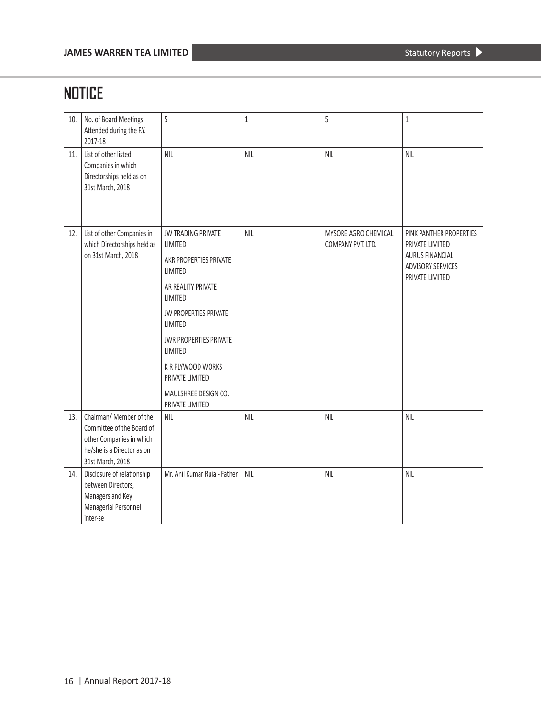| 10. | No. of Board Meetings<br>Attended during the F.Y.<br>2017-18                                                                       | 5                                                                                                                                                                                                                                                                             | $\mathbf 1$ | 5                                         | $\mathbf 1$                                                                                                         |
|-----|------------------------------------------------------------------------------------------------------------------------------------|-------------------------------------------------------------------------------------------------------------------------------------------------------------------------------------------------------------------------------------------------------------------------------|-------------|-------------------------------------------|---------------------------------------------------------------------------------------------------------------------|
| 11. | List of other listed<br>Companies in which<br>Directorships held as on<br>31st March, 2018                                         | <b>NIL</b>                                                                                                                                                                                                                                                                    | <b>NIL</b>  | <b>NIL</b>                                | <b>NIL</b>                                                                                                          |
| 12. | List of other Companies in<br>which Directorships held as<br>on 31st March, 2018                                                   | JW TRADING PRIVATE<br>LIMITED<br>AKR PROPERTIES PRIVATE<br>LIMITED<br>AR REALITY PRIVATE<br>LIMITED<br><b>JW PROPERTIES PRIVATE</b><br>LIMITED<br>JWR PROPERTIES PRIVATE<br>LIMITED<br><b>K R PLYWOOD WORKS</b><br>PRIVATE LIMITED<br>MAULSHREE DESIGN CO.<br>PRIVATE LIMITED | <b>NIL</b>  | MYSORE AGRO CHEMICAL<br>COMPANY PVT. LTD. | PINK PANTHER PROPERTIES<br>PRIVATE LIMITED<br><b>AURUS FINANCIAL</b><br><b>ADVISORY SERVICES</b><br>PRIVATE LIMITED |
| 13. | Chairman/ Member of the<br>Committee of the Board of<br>other Companies in which<br>he/she is a Director as on<br>31st March, 2018 | <b>NIL</b>                                                                                                                                                                                                                                                                    | <b>NIL</b>  | <b>NIL</b>                                | <b>NIL</b>                                                                                                          |
| 14. | Disclosure of relationship<br>between Directors,<br>Managers and Key<br>Managerial Personnel<br>inter-se                           | Mr. Anil Kumar Ruia - Father                                                                                                                                                                                                                                                  | <b>NIL</b>  | <b>NIL</b>                                | <b>NIL</b>                                                                                                          |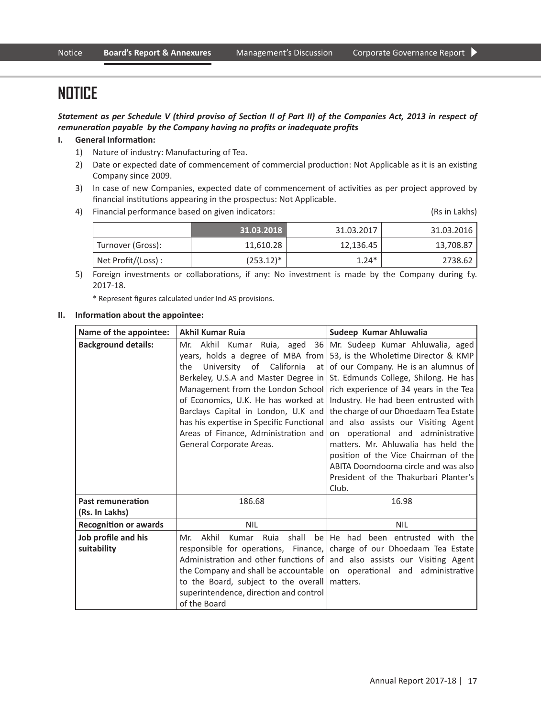Statement as per Schedule V (third proviso of Section II of Part II) of the Companies Act, 2013 in respect of remuneration payable by the Company having no profits or inadequate profits

#### **I. General Information:**

- 1) Nature of industry: Manufacturing of Tea.
- 2) Date or expected date of commencement of commercial production: Not Applicable as it is an existing Company since 2009.
- 3) In case of new Companies, expected date of commencement of activities as per project approved by financial institutions appearing in the prospectus: Not Applicable.
- 4) Financial performance based on given indicators: (Rs in Lakhs)

|                    | 31.03.2018   | 31.03.2017 | 31.03.2016 |
|--------------------|--------------|------------|------------|
| Turnover (Gross):  | 11.610.28    | 12,136.45  | 13,708.87  |
| Net Profit/(Loss): | $(253.12)^*$ | $1.24*$    | 2738.62    |

 5) Foreign investments or collaborations, if any: No investment is made by the Company during f.y. 2017-18.

\* Represent figures calculated under Ind AS provisions.

#### **II. Information about the appointee:**

| Name of the appointee:             | <b>Akhil Kumar Ruja</b>                                                                                                                                                                                                                                        | Sudeep Kumar Ahluwalia                                                                                                                                                                                                                                                                                                                                                                                                                                                                                                                                                                                                                                                         |
|------------------------------------|----------------------------------------------------------------------------------------------------------------------------------------------------------------------------------------------------------------------------------------------------------------|--------------------------------------------------------------------------------------------------------------------------------------------------------------------------------------------------------------------------------------------------------------------------------------------------------------------------------------------------------------------------------------------------------------------------------------------------------------------------------------------------------------------------------------------------------------------------------------------------------------------------------------------------------------------------------|
| <b>Background details:</b>         | the<br>Management from the London School<br>of Economics, U.K. He has worked at<br>Barclays Capital in London, U.K and<br>has his expertise in Specific Functional<br>Areas of Finance, Administration and<br>General Corporate Areas.                         | Mr. Akhil Kumar Ruia, aged 36 Mr. Sudeep Kumar Ahluwalia, aged<br>years, holds a degree of MBA from $\vert$ 53, is the Wholetime Director & KMP<br>University of California at of our Company. He is an alumnus of<br>Berkeley, U.S.A and Master Degree in St. Edmunds College, Shilong. He has<br>rich experience of 34 years in the Tea<br>Industry. He had been entrusted with<br>the charge of our Dhoedaam Tea Estate<br>and also assists our Visiting Agent<br>on operational and administrative<br>matters. Mr. Ahluwalia has held the<br>position of the Vice Chairman of the<br>ABITA Doomdooma circle and was also<br>President of the Thakurbari Planter's<br>Club. |
| <b>Past remuneration</b>           | 186.68                                                                                                                                                                                                                                                         | 16.98                                                                                                                                                                                                                                                                                                                                                                                                                                                                                                                                                                                                                                                                          |
| (Rs. In Lakhs)                     |                                                                                                                                                                                                                                                                |                                                                                                                                                                                                                                                                                                                                                                                                                                                                                                                                                                                                                                                                                |
| <b>Recognition or awards</b>       | <b>NIL</b>                                                                                                                                                                                                                                                     | <b>NIL</b>                                                                                                                                                                                                                                                                                                                                                                                                                                                                                                                                                                                                                                                                     |
| Job profile and his<br>suitability | Ruia shall<br>Akhil<br>Mr.<br>Kumar<br>responsible for operations, Finance,<br>Administration and other functions of<br>the Company and shall be accountable<br>to the Board, subject to the overall<br>superintendence, direction and control<br>of the Board | be He had been entrusted with the<br>charge of our Dhoedaam Tea Estate<br>and also assists our Visiting Agent<br>on operational and administrative<br>matters.                                                                                                                                                                                                                                                                                                                                                                                                                                                                                                                 |